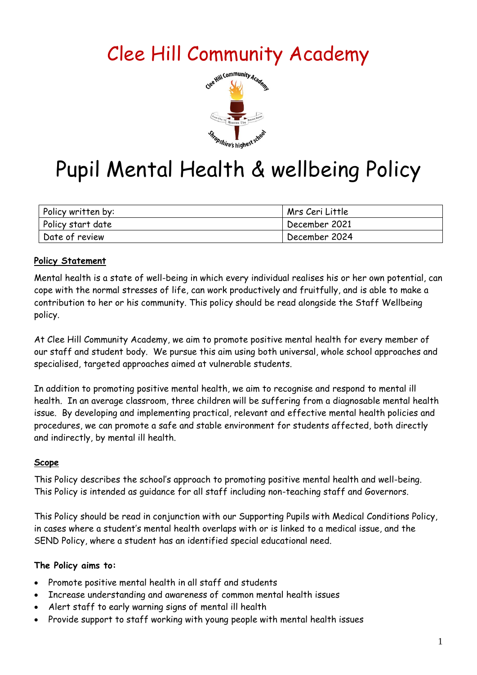# Clee Hill Community Academy



# Pupil Mental Health & wellbeing Policy

| Policy written by: | Mrs Ceri Little |
|--------------------|-----------------|
| Policy start date  | December 2021   |
| Date of review     | December 2024   |

#### **Policy Statement**

Mental health is a state of well-being in which every individual realises his or her own potential, can cope with the normal stresses of life, can work productively and fruitfully, and is able to make a contribution to her or his community. This policy should be read alongside the Staff Wellbeing policy.

At Clee Hill Community Academy, we aim to promote positive mental health for every member of our staff and student body. We pursue this aim using both universal, whole school approaches and specialised, targeted approaches aimed at vulnerable students.

In addition to promoting positive mental health, we aim to recognise and respond to mental ill health. In an average classroom, three children will be suffering from a diagnosable mental health issue. By developing and implementing practical, relevant and effective mental health policies and procedures, we can promote a safe and stable environment for students affected, both directly and indirectly, by mental ill health.

#### **Scope**

This Policy describes the school's approach to promoting positive mental health and well-being. This Policy is intended as guidance for all staff including non-teaching staff and Governors.

This Policy should be read in conjunction with our Supporting Pupils with Medical Conditions Policy, in cases where a student's mental health overlaps with or is linked to a medical issue, and the SEND Policy, where a student has an identified special educational need.

#### **The Policy aims to:**

- Promote positive mental health in all staff and students
- Increase understanding and awareness of common mental health issues
- Alert staff to early warning signs of mental ill health
- Provide support to staff working with young people with mental health issues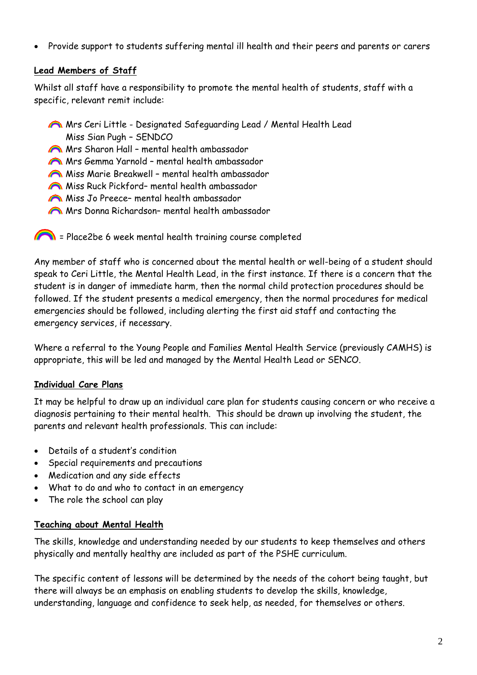• Provide support to students suffering mental ill health and their peers and parents or carers

#### **Lead Members of Staff**

Whilst all staff have a responsibility to promote the mental health of students, staff with a specific, relevant remit include:

- Mrs Ceri Little Designated Safeguarding Lead / Mental Health Lead Miss Sian Pugh – SENDCO
- Mrs Sharon Hall mental health ambassador
- Mrs Gemma Yarnold mental health ambassador
- Miss Marie Breakwell mental health ambassador
- Miss Ruck Pickford– mental health ambassador
- Miss Jo Preece– mental health ambassador
- Mrs Donna Richardson– mental health ambassador
- Place2be 6 week mental health training course completed

Any member of staff who is concerned about the mental health or well-being of a student should speak to Ceri Little, the Mental Health Lead, in the first instance. If there is a concern that the student is in danger of immediate harm, then the normal child protection procedures should be followed. If the student presents a medical emergency, then the normal procedures for medical emergencies should be followed, including alerting the first aid staff and contacting the emergency services, if necessary.

Where a referral to the Young People and Families Mental Health Service (previously CAMHS) is appropriate, this will be led and managed by the Mental Health Lead or SENCO.

#### **Individual Care Plans**

It may be helpful to draw up an individual care plan for students causing concern or who receive a diagnosis pertaining to their mental health. This should be drawn up involving the student, the parents and relevant health professionals. This can include:

- Details of a student's condition
- Special requirements and precautions
- Medication and any side effects
- What to do and who to contact in an emergency
- The role the school can play

#### **Teaching about Mental Health**

The skills, knowledge and understanding needed by our students to keep themselves and others physically and mentally healthy are included as part of the PSHE curriculum.

The specific content of lessons will be determined by the needs of the cohort being taught, but there will always be an emphasis on enabling students to develop the skills, knowledge, understanding, language and confidence to seek help, as needed, for themselves or others.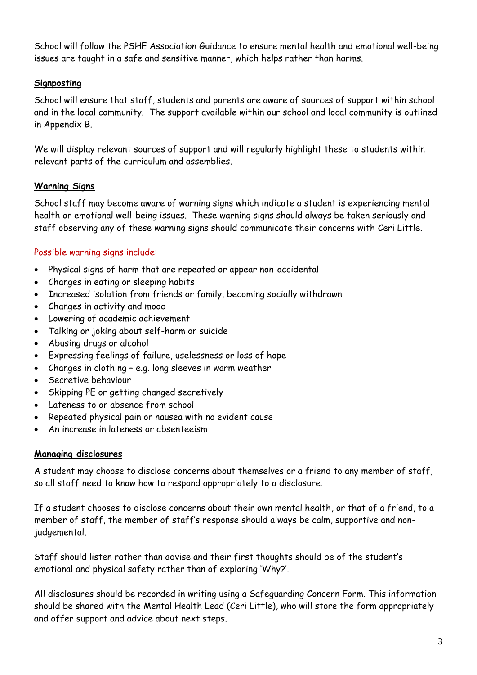School will follow the PSHE Association Guidance to ensure mental health and emotional well-being issues are taught in a safe and sensitive manner, which helps rather than harms.

#### **Signposting**

School will ensure that staff, students and parents are aware of sources of support within school and in the local community. The support available within our school and local community is outlined in Appendix B.

We will display relevant sources of support and will regularly highlight these to students within relevant parts of the curriculum and assemblies.

#### **Warning Signs**

School staff may become aware of warning signs which indicate a student is experiencing mental health or emotional well-being issues. These warning signs should always be taken seriously and staff observing any of these warning signs should communicate their concerns with Ceri Little.

#### Possible warning signs include:

- Physical signs of harm that are repeated or appear non-accidental
- Changes in eating or sleeping habits
- Increased isolation from friends or family, becoming socially withdrawn
- Changes in activity and mood
- Lowering of academic achievement
- Talking or joking about self-harm or suicide
- Abusing drugs or alcohol
- Expressing feelings of failure, uselessness or loss of hope
- Changes in clothing e.g. long sleeves in warm weather
- Secretive behaviour
- Skipping PE or getting changed secretively
- Lateness to or absence from school
- Repeated physical pain or nausea with no evident cause
- An increase in lateness or absenteeism

#### **Managing disclosures**

A student may choose to disclose concerns about themselves or a friend to any member of staff, so all staff need to know how to respond appropriately to a disclosure.

If a student chooses to disclose concerns about their own mental health, or that of a friend, to a member of staff, the member of staff's response should always be calm, supportive and nonjudgemental.

Staff should listen rather than advise and their first thoughts should be of the student's emotional and physical safety rather than of exploring 'Why?'.

All disclosures should be recorded in writing using a Safeguarding Concern Form. This information should be shared with the Mental Health Lead (Ceri Little), who will store the form appropriately and offer support and advice about next steps.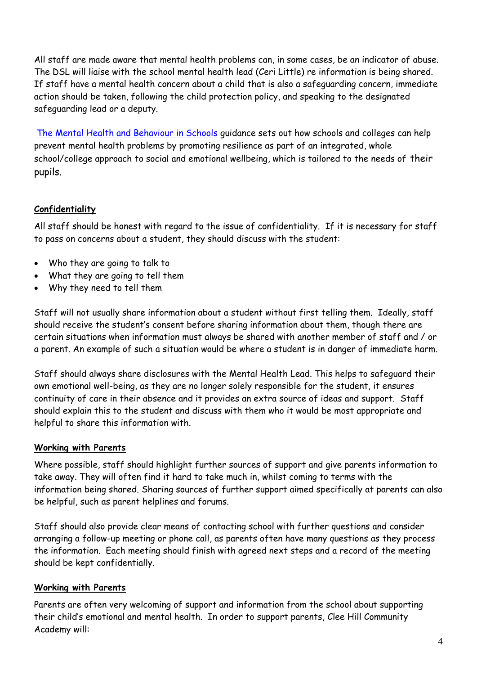All staff are made aware that mental health problems can, in some cases, be an indicator of abuse. The DSL will liaise with the school mental health lead (Ceri Little) re information is being shared. If staff have a mental health concern about a child that is also a safeguarding concern, immediate action should be taken, following the child protection policy, and speaking to the designated safeguarding lead or a deputy.

[The Mental Health and Behaviour in Schools](https://assets.publishing.service.gov.uk/government/uploads/system/uploads/attachment_data/file/755135/Mental_health_and_behaviour_in_schools__.pdf) guidance sets out how schools and colleges can help prevent mental health problems by promoting resilience as part of an integrated, whole school/college approach to social and emotional wellbeing, which is tailored to the needs of their pupils.

### **Confidentiality**

All staff should be honest with regard to the issue of confidentiality. If it is necessary for staff to pass on concerns about a student, they should discuss with the student:

- Who they are going to talk to
- What they are going to tell them
- Why they need to tell them

Staff will not usually share information about a student without first telling them. Ideally, staff should receive the student's consent before sharing information about them, though there are certain situations when information must always be shared with another member of staff and / or a parent. An example of such a situation would be where a student is in danger of immediate harm.

Staff should always share disclosures with the Mental Health Lead. This helps to safeguard their own emotional well-being, as they are no longer solely responsible for the student, it ensures continuity of care in their absence and it provides an extra source of ideas and support. Staff should explain this to the student and discuss with them who it would be most appropriate and helpful to share this information with.

#### **Working with Parents**

Where possible, staff should highlight further sources of support and give parents information to take away. They will often find it hard to take much in, whilst coming to terms with the information being shared. Sharing sources of further support aimed specifically at parents can also be helpful, such as parent helplines and forums.

Staff should also provide clear means of contacting school with further questions and consider arranging a follow-up meeting or phone call, as parents often have many questions as they process the information. Each meeting should finish with agreed next steps and a record of the meeting should be kept confidentially.

#### **Working with Parents**

Parents are often very welcoming of support and information from the school about supporting their child's emotional and mental health. In order to support parents, Clee Hill Community Academy will: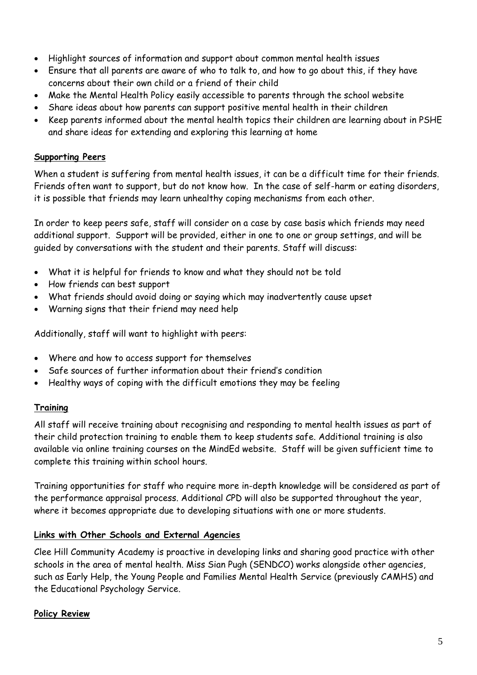- Highlight sources of information and support about common mental health issues
- Ensure that all parents are aware of who to talk to, and how to go about this, if they have concerns about their own child or a friend of their child
- Make the Mental Health Policy easily accessible to parents through the school website
- Share ideas about how parents can support positive mental health in their children
- Keep parents informed about the mental health topics their children are learning about in PSHE and share ideas for extending and exploring this learning at home

#### **Supporting Peers**

When a student is suffering from mental health issues, it can be a difficult time for their friends. Friends often want to support, but do not know how. In the case of self-harm or eating disorders, it is possible that friends may learn unhealthy coping mechanisms from each other.

In order to keep peers safe, staff will consider on a case by case basis which friends may need additional support. Support will be provided, either in one to one or group settings, and will be guided by conversations with the student and their parents. Staff will discuss:

- What it is helpful for friends to know and what they should not be told
- How friends can best support
- What friends should avoid doing or saying which may inadvertently cause upset
- Warning signs that their friend may need help

Additionally, staff will want to highlight with peers:

- Where and how to access support for themselves
- Safe sources of further information about their friend's condition
- Healthy ways of coping with the difficult emotions they may be feeling

#### **Training**

All staff will receive training about recognising and responding to mental health issues as part of their child protection training to enable them to keep students safe. Additional training is also available via online training courses on the MindEd website. Staff will be given sufficient time to complete this training within school hours.

Training opportunities for staff who require more in-depth knowledge will be considered as part of the performance appraisal process. Additional CPD will also be supported throughout the year, where it becomes appropriate due to developing situations with one or more students.

#### **Links with Other Schools and External Agencies**

Clee Hill Community Academy is proactive in developing links and sharing good practice with other schools in the area of mental health. Miss Sian Pugh (SENDCO) works alongside other agencies, such as Early Help, the Young People and Families Mental Health Service (previously CAMHS) and the Educational Psychology Service.

#### **Policy Review**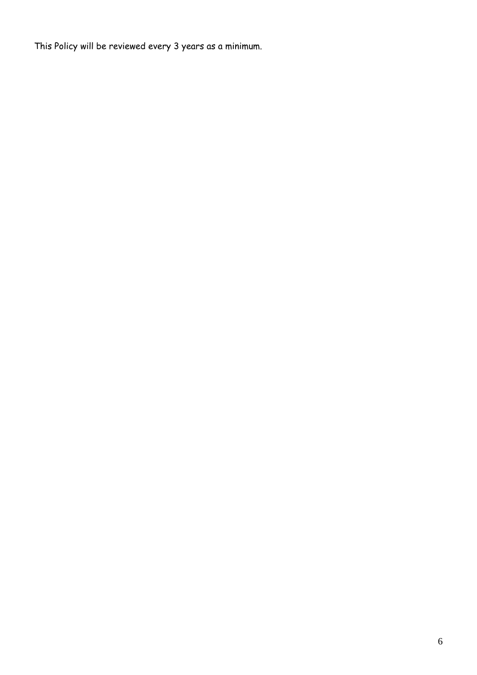This Policy will be reviewed every 3 years as a minimum.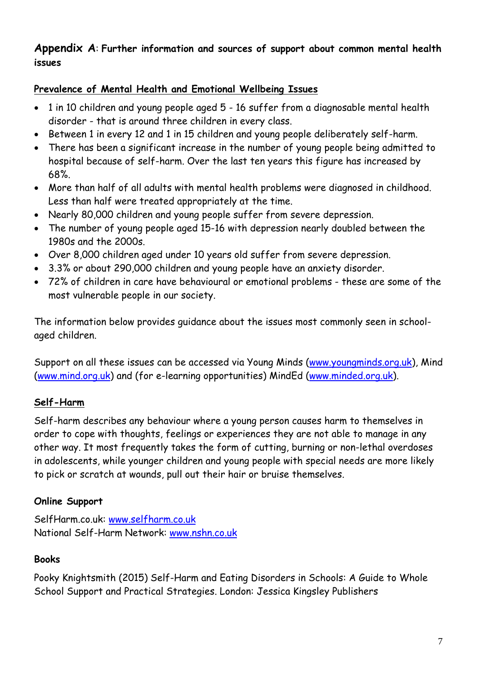# **Appendix A**: **Further information and sources of support about common mental health issues**

# **Prevalence of Mental Health and Emotional Wellbeing Issues**

- 1 in 10 children and young people aged 5 16 suffer from a diagnosable mental health disorder - that is around three children in every class.
- Between 1 in every 12 and 1 in 15 children and young people deliberately self-harm.
- There has been a significant increase in the number of young people being admitted to hospital because of self-harm. Over the last ten years this figure has increased by 68%.
- More than half of all adults with mental health problems were diagnosed in childhood. Less than half were treated appropriately at the time.
- Nearly 80,000 children and young people suffer from severe depression.
- The number of young people aged 15-16 with depression nearly doubled between the 1980s and the 2000s.
- Over 8,000 children aged under 10 years old suffer from severe depression.
- 3.3% or about 290,000 children and young people have an anxiety disorder.
- 72% of children in care have behavioural or emotional problems these are some of the most vulnerable people in our society.

The information below provides guidance about the issues most commonly seen in schoolaged children.

Support on all these issues can be accessed via Young Minds [\(www.youngminds.org.uk\)](http://www.youngminds.org.uk/), Mind [\(www.mind.org.uk\)](http://www.mind.org.uk/) and (for e-learning opportunities) MindEd [\(www.minded.org.uk\)](http://www.minded.org.uk/).

# **Self-Harm**

Self-harm describes any behaviour where a young person causes harm to themselves in order to cope with thoughts, feelings or experiences they are not able to manage in any other way. It most frequently takes the form of cutting, burning or non-lethal overdoses in adolescents, while younger children and young people with special needs are more likely to pick or scratch at wounds, pull out their hair or bruise themselves.

# **Online Support**

SelfHarm.co.uk: [www.selfharm.co.uk](http://www.selfharm.co.uk/) National Self-Harm Network: [www.nshn.co.uk](http://www.nshn.co.uk/)

# **Books**

Pooky Knightsmith (2015) Self-Harm and Eating Disorders in Schools: A Guide to Whole School Support and Practical Strategies. London: Jessica Kingsley Publishers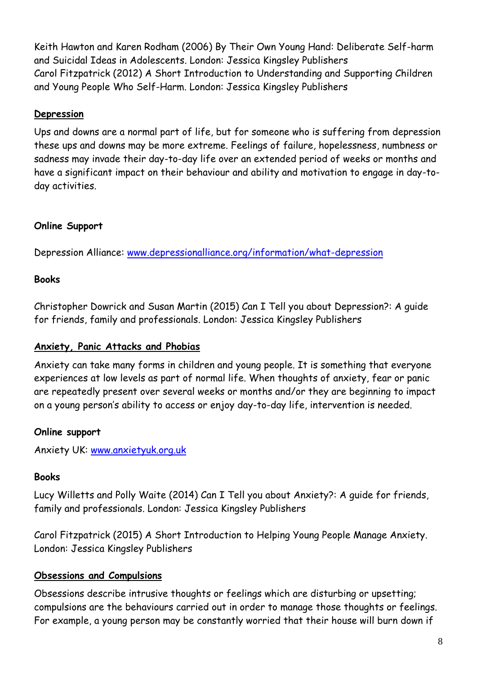Keith Hawton and Karen Rodham (2006) By Their Own Young Hand: Deliberate Self-harm and Suicidal Ideas in Adolescents. London: Jessica Kingsley Publishers Carol Fitzpatrick (2012) A Short Introduction to Understanding and Supporting Children and Young People Who Self-Harm. London: Jessica Kingsley Publishers

### **Depression**

Ups and downs are a normal part of life, but for someone who is suffering from depression these ups and downs may be more extreme. Feelings of failure, hopelessness, numbness or sadness may invade their day-to-day life over an extended period of weeks or months and have a significant impact on their behaviour and ability and motivation to engage in day-today activities.

# **Online Support**

Depression Alliance: [www.depressionalliance.org/information/what-depression](http://www.depressionalliance.org/information/what-depression)

# **Books**

Christopher Dowrick and Susan Martin (2015) Can I Tell you about Depression?: A guide for friends, family and professionals. London: Jessica Kingsley Publishers

# **Anxiety, Panic Attacks and Phobias**

Anxiety can take many forms in children and young people. It is something that everyone experiences at low levels as part of normal life. When thoughts of anxiety, fear or panic are repeatedly present over several weeks or months and/or they are beginning to impact on a young person's ability to access or enjoy day-to-day life, intervention is needed.

# **Online support**

Anxiety UK: [www.anxietyuk.org.uk](http://www.anxietyuk.org.uk/)

# **Books**

Lucy Willetts and Polly Waite (2014) Can I Tell you about Anxiety?: A guide for friends, family and professionals. London: Jessica Kingsley Publishers

Carol Fitzpatrick (2015) A Short Introduction to Helping Young People Manage Anxiety. London: Jessica Kingsley Publishers

# **Obsessions and Compulsions**

Obsessions describe intrusive thoughts or feelings which are disturbing or upsetting; compulsions are the behaviours carried out in order to manage those thoughts or feelings. For example, a young person may be constantly worried that their house will burn down if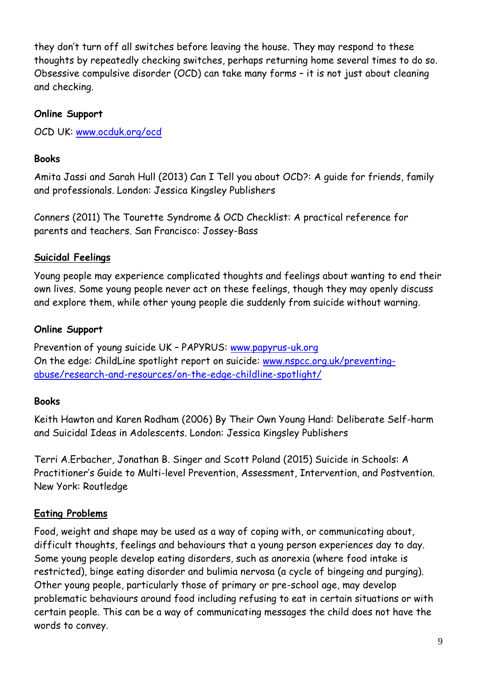they don't turn off all switches before leaving the house. They may respond to these thoughts by repeatedly checking switches, perhaps returning home several times to do so. Obsessive compulsive disorder (OCD) can take many forms – it is not just about cleaning and checking.

### **Online Support**

OCD UK: [www.ocduk.org/ocd](http://www.ocduk.org/ocd)

# **Books**

Amita Jassi and Sarah Hull (2013) Can I Tell you about OCD?: A guide for friends, family and professionals. London: Jessica Kingsley Publishers

Conners (2011) The Tourette Syndrome & OCD Checklist: A practical reference for parents and teachers. San Francisco: Jossey-Bass

# **Suicidal Feelings**

Young people may experience complicated thoughts and feelings about wanting to end their own lives. Some young people never act on these feelings, though they may openly discuss and explore them, while other young people die suddenly from suicide without warning.

# **Online Support**

Prevention of young suicide UK – PAPYRUS: [www.papyrus-uk.org](http://www.papyrus-uk.org/) On the edge: ChildLine spotlight report on suicide: [www.nspcc.org.uk/preventing](http://www.nspcc.org.uk/preventing-abuse/research-and-resources/on-the-edge-childline-spotlight/)[abuse/research-and-resources/on-the-edge-childline-spotlight/](http://www.nspcc.org.uk/preventing-abuse/research-and-resources/on-the-edge-childline-spotlight/)

# **Books**

Keith Hawton and Karen Rodham (2006) By Their Own Young Hand: Deliberate Self-harm and Suicidal Ideas in Adolescents. London: Jessica Kingsley Publishers

Terri A.Erbacher, Jonathan B. Singer and Scott Poland (2015) Suicide in Schools: A Practitioner's Guide to Multi-level Prevention, Assessment, Intervention, and Postvention. New York: Routledge

# **Eating Problems**

Food, weight and shape may be used as a way of coping with, or communicating about, difficult thoughts, feelings and behaviours that a young person experiences day to day. Some young people develop eating disorders, such as anorexia (where food intake is restricted), binge eating disorder and bulimia nervosa (a cycle of bingeing and purging). Other young people, particularly those of primary or pre-school age, may develop problematic behaviours around food including refusing to eat in certain situations or with certain people. This can be a way of communicating messages the child does not have the words to convey.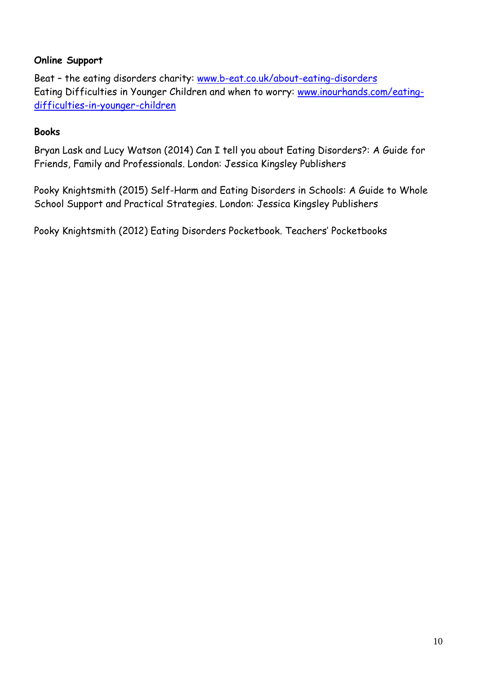#### **Online Support**

Beat – the eating disorders charity: [www.b-eat.co.uk/about-eating-disorders](http://www.b-eat.co.uk/about-eating-disorders) Eating Difficulties in Younger Children and when to worry: [www.inourhands.com/eating](http://www.inourhands.com/eating-difficulties-in-younger-children)[difficulties-in-younger-children](http://www.inourhands.com/eating-difficulties-in-younger-children)

#### **Books**

Bryan Lask and Lucy Watson (2014) Can I tell you about Eating Disorders?: A Guide for Friends, Family and Professionals. London: Jessica Kingsley Publishers

Pooky Knightsmith (2015) Self-Harm and Eating Disorders in Schools: A Guide to Whole School Support and Practical Strategies. London: Jessica Kingsley Publishers

Pooky Knightsmith (2012) Eating Disorders Pocketbook. Teachers' Pocketbooks